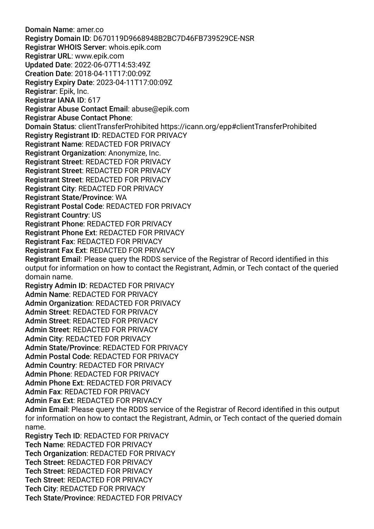Domain Name: amer.co Registry Domain ID: D670119D9668948B2BC7D46FB739529CE-NSR Registrar WHOIS Server: whois.epik.com Registrar URL: www.epik.com Updated Date: 2022-06-07T14:53:49Z Creation Date: 2018-04-11T17:00:09Z Registry Expiry Date: 2023-04-11T17:00:09Z Registrar: Epik, Inc. Registrar IANA ID: 617 Registrar Abuse Contact Email: abuse@epik.com Registrar Abuse Contact Phone: Domain Status: clientTransferProhibited https://icann.org/epp#clientTransferProhibited Registry Registrant ID: REDACTED FOR PRIVACY Registrant Name: REDACTED FOR PRIVACY Registrant Organization: Anonymize, Inc. Registrant Street: REDACTED FOR PRIVACY Registrant Street: REDACTED FOR PRIVACY Registrant Street: REDACTED FOR PRIVACY Registrant City: REDACTED FOR PRIVACY Registrant State/Province: WA Registrant Postal Code: REDACTED FOR PRIVACY Registrant Country: US Registrant Phone: REDACTED FOR PRIVACY Registrant Phone Ext: REDACTED FOR PRIVACY Registrant Fax: REDACTED FOR PRIVACY Registrant Fax Ext: REDACTED FOR PRIVACY Registrant Email: Please query the RDDS service of the Registrar of Record identifed in this output for information on how to contact the Registrant, Admin, or Tech contact of the queried domain name. Registry Admin ID: REDACTED FOR PRIVACY Admin Name: REDACTED FOR PRIVACY Admin Organization: REDACTED FOR PRIVACY Admin Street: REDACTED FOR PRIVACY Admin Street: REDACTED FOR PRIVACY Admin Street: REDACTED FOR PRIVACY Admin City: REDACTED FOR PRIVACY Admin State/Province: REDACTED FOR PRIVACY Admin Postal Code: REDACTED FOR PRIVACY Admin Country: REDACTED FOR PRIVACY Admin Phone: REDACTED FOR PRIVACY Admin Phone Ext: REDACTED FOR PRIVACY Admin Fax: REDACTED FOR PRIVACY Admin Fax Ext: REDACTED FOR PRIVACY Admin Email: Please query the RDDS service of the Registrar of Record identifed in this output for information on how to contact the Registrant, Admin, or Tech contact of the queried domain name. Registry Tech ID: REDACTED FOR PRIVACY Tech Name: REDACTED FOR PRIVACY Tech Organization: REDACTED FOR PRIVACY Tech Street: REDACTED FOR PRIVACY Tech Street: REDACTED FOR PRIVACY Tech Street: REDACTED FOR PRIVACY Tech City: REDACTED FOR PRIVACY Tech State/Province: REDACTED FOR PRIVACY